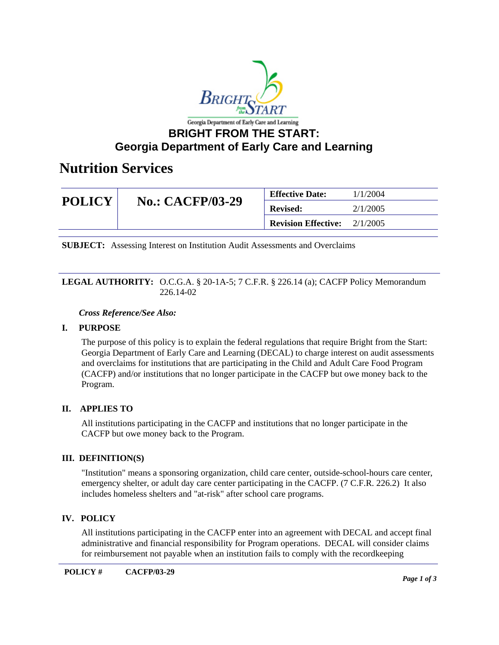

# **Georgia Department of Early Care and Learning**

# **Nutrition Services**

| <b>POLICY</b> | <b>No.: CACFP/03-29</b> | <b>Effective Date:</b>                | 1/1/2004 |
|---------------|-------------------------|---------------------------------------|----------|
|               |                         | <b>Revised:</b>                       | 2/1/2005 |
|               |                         | <b>Revision Effective:</b> $2/1/2005$ |          |

**SUBJECT:** Assessing Interest on Institution Audit Assessments and Overclaims

#### **LEGAL AUTHORITY:** O.C.G.A. § 20-1A-5; 7 C.F.R. § 226.14 (a); CACFP Policy Memorandum 226.14-02

#### *Cross Reference/See Also:*

### **I. PURPOSE**

The purpose of this policy is to explain the federal regulations that require Bright from the Start: Georgia Department of Early Care and Learning (DECAL) to charge interest on audit assessments and overclaims for institutions that are participating in the Child and Adult Care Food Program (CACFP) and/or institutions that no longer participate in the CACFP but owe money back to the Program.

### **II. APPLIES TO**

All institutions participating in the CACFP and institutions that no longer participate in the CACFP but owe money back to the Program.

#### **III. DEFINITION(S)**

"Institution" means a sponsoring organization, child care center, outside-school-hours care center, emergency shelter, or adult day care center participating in the CACFP. (7 C.F.R. 226.2) It also includes homeless shelters and "at-risk" after school care programs.

### **IV. POLICY**

All institutions participating in the CACFP enter into an agreement with DECAL and accept final administrative and financial responsibility for Program operations. DECAL will consider claims for reimbursement not payable when an institution fails to comply with the recordkeeping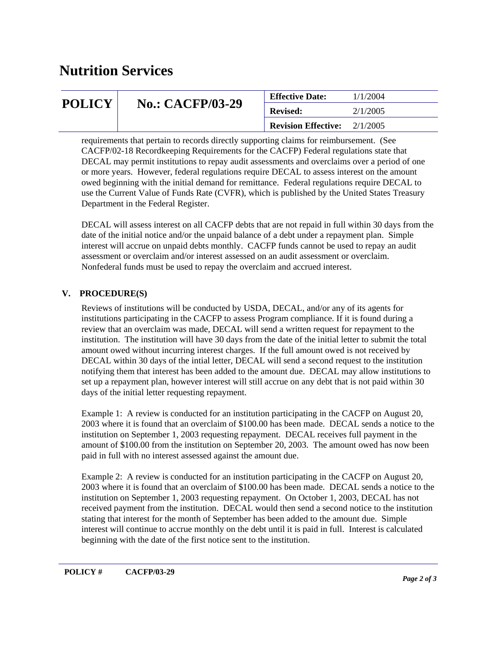# **Nutrition Services**

| <b>POLICY</b> | <b>No.: CACFP/03-29</b> | <b>Effective Date:</b>     | 1/1/2004 |
|---------------|-------------------------|----------------------------|----------|
|               |                         | <b>Revised:</b>            | 2/1/2005 |
|               |                         | <b>Revision Effective:</b> | 2/1/2005 |

requirements that pertain to records directly supporting claims for reimbursement. (See CACFP/02-18 Recordkeeping Requirements for the CACFP) Federal regulations state that DECAL may permit institutions to repay audit assessments and overclaims over a period of one or more years. However, federal regulations require DECAL to assess interest on the amount owed beginning with the initial demand for remittance. Federal regulations require DECAL to use the Current Value of Funds Rate (CVFR), which is published by the United States Treasury Department in the Federal Register.

DECAL will assess interest on all CACFP debts that are not repaid in full within 30 days from the date of the initial notice and/or the unpaid balance of a debt under a repayment plan. Simple interest will accrue on unpaid debts monthly. CACFP funds cannot be used to repay an audit assessment or overclaim and/or interest assessed on an audit assessment or overclaim. Nonfederal funds must be used to repay the overclaim and accrued interest.

# **V. PROCEDURE(S)**

Reviews of institutions will be conducted by USDA, DECAL, and/or any of its agents for institutions participating in the CACFP to assess Program compliance. If it is found during a review that an overclaim was made, DECAL will send a written request for repayment to the institution. The institution will have 30 days from the date of the initial letter to submit the total amount owed without incurring interest charges. If the full amount owed is not received by DECAL within 30 days of the intial letter, DECAL will send a second request to the institution notifying them that interest has been added to the amount due. DECAL may allow institutions to set up a repayment plan, however interest will still accrue on any debt that is not paid within 30 days of the initial letter requesting repayment.

Example 1: A review is conducted for an institution participating in the CACFP on August 20, 2003 where it is found that an overclaim of \$100.00 has been made. DECAL sends a notice to the institution on September 1, 2003 requesting repayment. DECAL receives full payment in the amount of \$100.00 from the institution on September 20, 2003. The amount owed has now been paid in full with no interest assessed against the amount due.

Example 2: A review is conducted for an institution participating in the CACFP on August 20, 2003 where it is found that an overclaim of \$100.00 has been made. DECAL sends a notice to the institution on September 1, 2003 requesting repayment. On October 1, 2003, DECAL has not received payment from the institution. DECAL would then send a second notice to the institution stating that interest for the month of September has been added to the amount due. Simple interest will continue to accrue monthly on the debt until it is paid in full. Interest is calculated beginning with the date of the first notice sent to the institution.